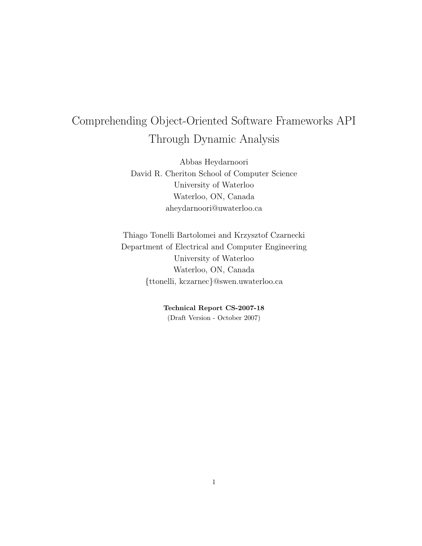# Comprehending Object-Oriented Software Frameworks API Through Dynamic Analysis

Abbas Heydarnoori David R. Cheriton School of Computer Science University of Waterloo Waterloo, ON, Canada aheydarnoori@uwaterloo.ca

Thiago Tonelli Bartolomei and Krzysztof Czarnecki Department of Electrical and Computer Engineering University of Waterloo Waterloo, ON, Canada {ttonelli, kczarnec}@swen.uwaterloo.ca

> Technical Report CS-2007-18 (Draft Version - October 2007)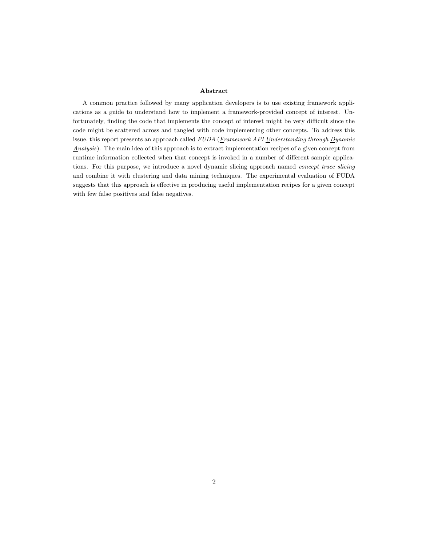### Abstract

A common practice followed by many application developers is to use existing framework applications as a guide to understand how to implement a framework-provided concept of interest. Unfortunately, finding the code that implements the concept of interest might be very difficult since the code might be scattered across and tangled with code implementing other concepts. To address this issue, this report presents an approach called FUDA (Framework API Understanding through Dynamic  $Analysis$ ). The main idea of this approach is to extract implementation recipes of a given concept from runtime information collected when that concept is invoked in a number of different sample applications. For this purpose, we introduce a novel dynamic slicing approach named concept trace slicing and combine it with clustering and data mining techniques. The experimental evaluation of FUDA suggests that this approach is effective in producing useful implementation recipes for a given concept with few false positives and false negatives.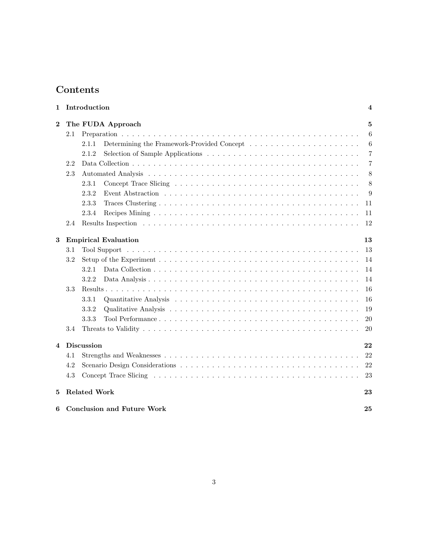## Contents

| 1                                      |     | Introduction                | 4                                                                                                                        |  |  |  |
|----------------------------------------|-----|-----------------------------|--------------------------------------------------------------------------------------------------------------------------|--|--|--|
| $\boldsymbol{2}$                       |     | The FUDA Approach           | 5                                                                                                                        |  |  |  |
|                                        | 2.1 |                             | 6                                                                                                                        |  |  |  |
|                                        |     | 2.1.1                       | 6                                                                                                                        |  |  |  |
|                                        |     | 2.1.2                       | 7                                                                                                                        |  |  |  |
|                                        | 2.2 |                             | 7                                                                                                                        |  |  |  |
|                                        | 2.3 |                             | 8                                                                                                                        |  |  |  |
|                                        |     | 2.3.1                       |                                                                                                                          |  |  |  |
|                                        |     | 2.3.2                       |                                                                                                                          |  |  |  |
|                                        |     | 2.3.3                       |                                                                                                                          |  |  |  |
|                                        |     | 2.3.4                       |                                                                                                                          |  |  |  |
|                                        | 2.4 |                             |                                                                                                                          |  |  |  |
| 3                                      |     | <b>Empirical Evaluation</b> |                                                                                                                          |  |  |  |
|                                        | 3.1 |                             |                                                                                                                          |  |  |  |
|                                        | 3.2 |                             |                                                                                                                          |  |  |  |
|                                        |     | 3.2.1                       |                                                                                                                          |  |  |  |
|                                        |     | 3.2.2                       |                                                                                                                          |  |  |  |
|                                        | 3.3 |                             |                                                                                                                          |  |  |  |
|                                        |     | 3.3.1                       |                                                                                                                          |  |  |  |
|                                        |     | 3.3.2                       |                                                                                                                          |  |  |  |
|                                        |     | 3.3.3                       |                                                                                                                          |  |  |  |
|                                        | 3.4 |                             |                                                                                                                          |  |  |  |
| 4                                      |     | <b>Discussion</b>           | 8<br>9<br>11<br>11<br>12<br>13<br>13<br>14<br>14<br>14<br>16<br>16<br>19<br>20<br>20<br>22<br>22<br>22<br>23<br>23<br>25 |  |  |  |
|                                        | 4.1 |                             |                                                                                                                          |  |  |  |
|                                        | 4.2 |                             |                                                                                                                          |  |  |  |
|                                        | 4.3 |                             |                                                                                                                          |  |  |  |
| 5                                      |     | <b>Related Work</b>         |                                                                                                                          |  |  |  |
| <b>Conclusion and Future Work</b><br>6 |     |                             |                                                                                                                          |  |  |  |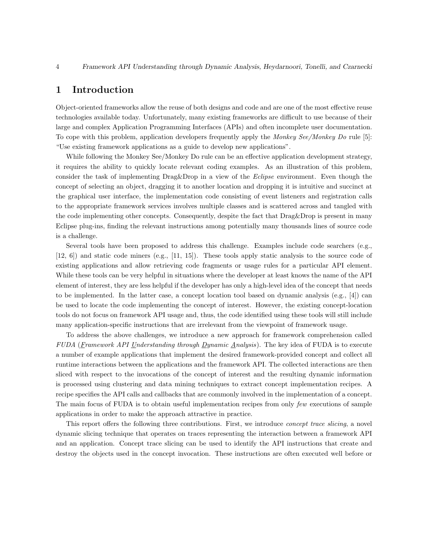## 1 Introduction

Object-oriented frameworks allow the reuse of both designs and code and are one of the most effective reuse technologies available today. Unfortunately, many existing frameworks are difficult to use because of their large and complex Application Programming Interfaces (APIs) and often incomplete user documentation. To cope with this problem, application developers frequently apply the Monkey See/Monkey Do rule [5]: "Use existing framework applications as a guide to develop new applications".

While following the Monkey See/Monkey Do rule can be an effective application development strategy, it requires the ability to quickly locate relevant coding examples. As an illustration of this problem, consider the task of implementing  $Diag\&Drop$  in a view of the *Eclipse* environment. Even though the concept of selecting an object, dragging it to another location and dropping it is intuitive and succinct at the graphical user interface, the implementation code consisting of event listeners and registration calls to the appropriate framework services involves multiple classes and is scattered across and tangled with the code implementing other concepts. Consequently, despite the fact that Drag&Drop is present in many Eclipse plug-ins, finding the relevant instructions among potentially many thousands lines of source code is a challenge.

Several tools have been proposed to address this challenge. Examples include code searchers (e.g., [12, 6]) and static code miners (e.g., [11, 15]). These tools apply static analysis to the source code of existing applications and allow retrieving code fragments or usage rules for a particular API element. While these tools can be very helpful in situations where the developer at least knows the name of the API element of interest, they are less helpful if the developer has only a high-level idea of the concept that needs to be implemented. In the latter case, a concept location tool based on dynamic analysis (e.g., [4]) can be used to locate the code implementing the concept of interest. However, the existing concept-location tools do not focus on framework API usage and, thus, the code identified using these tools will still include many application-specific instructions that are irrelevant from the viewpoint of framework usage.

To address the above challenges, we introduce a new approach for framework comprehension called FUDA (Framework API Understanding through Dynamic Analysis). The key idea of FUDA is to execute a number of example applications that implement the desired framework-provided concept and collect all runtime interactions between the applications and the framework API. The collected interactions are then sliced with respect to the invocations of the concept of interest and the resulting dynamic information is processed using clustering and data mining techniques to extract concept implementation recipes. A recipe specifies the API calls and callbacks that are commonly involved in the implementation of a concept. The main focus of FUDA is to obtain useful implementation recipes from only few executions of sample applications in order to make the approach attractive in practice.

This report offers the following three contributions. First, we introduce *concept trace slicing*, a novel dynamic slicing technique that operates on traces representing the interaction between a framework API and an application. Concept trace slicing can be used to identify the API instructions that create and destroy the objects used in the concept invocation. These instructions are often executed well before or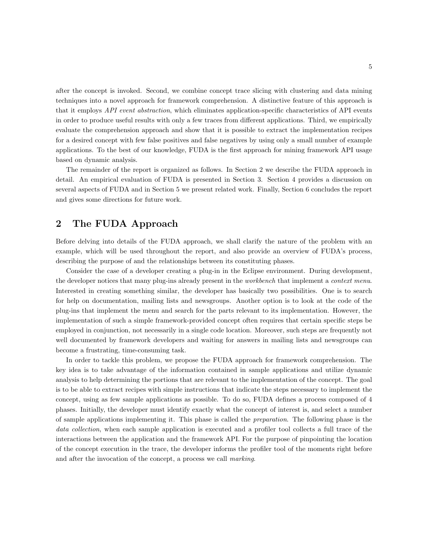after the concept is invoked. Second, we combine concept trace slicing with clustering and data mining techniques into a novel approach for framework comprehension. A distinctive feature of this approach is that it employs *API event abstraction*, which eliminates application-specific characteristics of API events in order to produce useful results with only a few traces from different applications. Third, we empirically evaluate the comprehension approach and show that it is possible to extract the implementation recipes for a desired concept with few false positives and false negatives by using only a small number of example applications. To the best of our knowledge, FUDA is the first approach for mining framework API usage based on dynamic analysis.

The remainder of the report is organized as follows. In Section 2 we describe the FUDA approach in detail. An empirical evaluation of FUDA is presented in Section 3. Section 4 provides a discussion on several aspects of FUDA and in Section 5 we present related work. Finally, Section 6 concludes the report and gives some directions for future work.

## 2 The FUDA Approach

Before delving into details of the FUDA approach, we shall clarify the nature of the problem with an example, which will be used throughout the report, and also provide an overview of FUDA's process, describing the purpose of and the relationships between its constituting phases.

Consider the case of a developer creating a plug-in in the Eclipse environment. During development, the developer notices that many plug-ins already present in the *workbench* that implement a *context menu*. Interested in creating something similar, the developer has basically two possibilities. One is to search for help on documentation, mailing lists and newsgroups. Another option is to look at the code of the plug-ins that implement the menu and search for the parts relevant to its implementation. However, the implementation of such a simple framework-provided concept often requires that certain specific steps be employed in conjunction, not necessarily in a single code location. Moreover, such steps are frequently not well documented by framework developers and waiting for answers in mailing lists and newsgroups can become a frustrating, time-consuming task.

In order to tackle this problem, we propose the FUDA approach for framework comprehension. The key idea is to take advantage of the information contained in sample applications and utilize dynamic analysis to help determining the portions that are relevant to the implementation of the concept. The goal is to be able to extract recipes with simple instructions that indicate the steps necessary to implement the concept, using as few sample applications as possible. To do so, FUDA defines a process composed of 4 phases. Initially, the developer must identify exactly what the concept of interest is, and select a number of sample applications implementing it. This phase is called the preparation. The following phase is the data collection, when each sample application is executed and a profiler tool collects a full trace of the interactions between the application and the framework API. For the purpose of pinpointing the location of the concept execution in the trace, the developer informs the profiler tool of the moments right before and after the invocation of the concept, a process we call marking.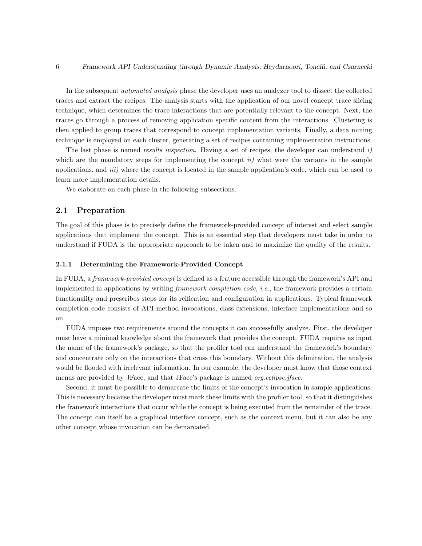In the subsequent *automated analysis* phase the developer uses an analyzer tool to dissect the collected traces and extract the recipes. The analysis starts with the application of our novel concept trace slicing technique, which determines the trace interactions that are potentially relevant to the concept. Next, the traces go through a process of removing application specific content from the interactions. Clustering is then applied to group traces that correspond to concept implementation variants. Finally, a data mining technique is employed on each cluster, generating a set of recipes containing implementation instructions.

The last phase is named *results inspection*. Having a set of recipes, the developer can understand  $i$ ) which are the mandatory steps for implementing the concept  $ii$ ) what were the variants in the sample applications, and *iii*) where the concept is located in the sample application's code, which can be used to learn more implementation details.

We elaborate on each phase in the following subsections.

## 2.1 Preparation

The goal of this phase is to precisely define the framework-provided concept of interest and select sample applications that implement the concept. This is an essential step that developers must take in order to understand if FUDA is the appropriate approach to be taken and to maximize the quality of the results.

### 2.1.1 Determining the Framework-Provided Concept

In FUDA, a framework-provided concept is defined as a feature accessible through the framework's API and implemented in applications by writing framework completion code, i.e., the framework provides a certain functionality and prescribes steps for its reification and configuration in applications. Typical framework completion code consists of API method invocations, class extensions, interface implementations and so on.

FUDA imposes two requirements around the concepts it can successfully analyze. First, the developer must have a minimal knowledge about the framework that provides the concept. FUDA requires as input the name of the framework's package, so that the profiler tool can understand the framework's boundary and concentrate only on the interactions that cross this boundary. Without this delimitation, the analysis would be flooded with irrelevant information. In our example, the developer must know that those context menus are provided by JFace, and that JFace's package is named *org.eclipse.jface.* 

Second, it must be possible to demarcate the limits of the concept's invocation in sample applications. This is necessary because the developer must mark these limits with the profiler tool, so that it distinguishes the framework interactions that occur while the concept is being executed from the remainder of the trace. The concept can itself be a graphical interface concept, such as the context menu, but it can also be any other concept whose invocation can be demarcated.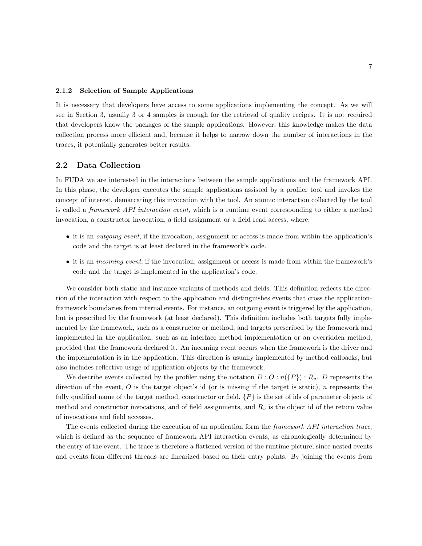#### 2.1.2 Selection of Sample Applications

It is necessary that developers have access to some applications implementing the concept. As we will see in Section 3, usually 3 or 4 samples is enough for the retrieval of quality recipes. It is not required that developers know the packages of the sample applications. However, this knowledge makes the data collection process more efficient and, because it helps to narrow down the number of interactions in the traces, it potentially generates better results.

## 2.2 Data Collection

In FUDA we are interested in the interactions between the sample applications and the framework API. In this phase, the developer executes the sample applications assisted by a profiler tool and invokes the concept of interest, demarcating this invocation with the tool. An atomic interaction collected by the tool is called a framework API interaction event, which is a runtime event corresponding to either a method invocation, a constructor invocation, a field assignment or a field read access, where:

- it is an *outgoing event*, if the invocation, assignment or access is made from within the application's code and the target is at least declared in the framework's code.
- it is an incoming event, if the invocation, assignment or access is made from within the framework's code and the target is implemented in the application's code.

We consider both static and instance variants of methods and fields. This definition reflects the direction of the interaction with respect to the application and distinguishes events that cross the applicationframework boundaries from internal events. For instance, an outgoing event is triggered by the application, but is prescribed by the framework (at least declared). This definition includes both targets fully implemented by the framework, such as a constructor or method, and targets prescribed by the framework and implemented in the application, such as an interface method implementation or an overridden method, provided that the framework declared it. An incoming event occurs when the framework is the driver and the implementation is in the application. This direction is usually implemented by method callbacks, but also includes reflective usage of application objects by the framework.

We describe events collected by the profiler using the notation  $D : O : n({P}) : R_v$ . D represents the direction of the event,  $O$  is the target object's id (or is missing if the target is static), n represents the fully qualified name of the target method, constructor or field,  $\{P\}$  is the set of ids of parameter objects of method and constructor invocations, and of field assignments, and  $R<sub>v</sub>$  is the object id of the return value of invocations and field accesses.

The events collected during the execution of an application form the *framework API interaction trace*, which is defined as the sequence of framework API interaction events, as chronologically determined by the entry of the event. The trace is therefore a flattened version of the runtime picture, since nested events and events from different threads are linearized based on their entry points. By joining the events from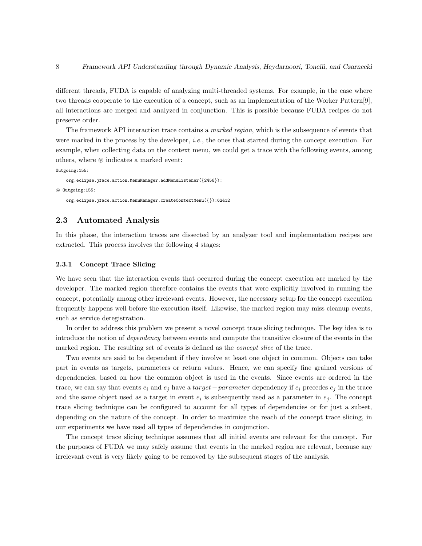different threads, FUDA is capable of analyzing multi-threaded systems. For example, in the case where two threads cooperate to the execution of a concept, such as an implementation of the Worker Pattern[9], all interactions are merged and analyzed in conjunction. This is possible because FUDA recipes do not preserve order.

The framework API interaction trace contains a *marked region*, which is the subsequence of events that were marked in the process by the developer, *i.e.*, the ones that started during the concept execution. For example, when collecting data on the context menu, we could get a trace with the following events, among others, where  $\circledast$  indicates a marked event:

Outgoing:155:

```
org.eclipse.jface.action.MenuManager.addMenuListener({2456}):
~ Outgoing:155:
```

```
org.eclipse.jface.action.MenuManager.createContextMenu({}):62412
```
## 2.3 Automated Analysis

In this phase, the interaction traces are dissected by an analyzer tool and implementation recipes are extracted. This process involves the following 4 stages:

## 2.3.1 Concept Trace Slicing

We have seen that the interaction events that occurred during the concept execution are marked by the developer. The marked region therefore contains the events that were explicitly involved in running the concept, potentially among other irrelevant events. However, the necessary setup for the concept execution frequently happens well before the execution itself. Likewise, the marked region may miss cleanup events, such as service deregistration.

In order to address this problem we present a novel concept trace slicing technique. The key idea is to introduce the notion of dependency between events and compute the transitive closure of the events in the marked region. The resulting set of events is defined as the *concept slice* of the trace.

Two events are said to be dependent if they involve at least one object in common. Objects can take part in events as targets, parameters or return values. Hence, we can specify fine grained versions of dependencies, based on how the common object is used in the events. Since events are ordered in the trace, we can say that events  $e_i$  and  $e_j$  have a target – parameter dependency if  $e_i$  precedes  $e_j$  in the trace and the same object used as a target in event  $e_i$  is subsequently used as a parameter in  $e_j$ . The concept trace slicing technique can be configured to account for all types of dependencies or for just a subset, depending on the nature of the concept. In order to maximize the reach of the concept trace slicing, in our experiments we have used all types of dependencies in conjunction.

The concept trace slicing technique assumes that all initial events are relevant for the concept. For the purposes of FUDA we may safely assume that events in the marked region are relevant, because any irrelevant event is very likely going to be removed by the subsequent stages of the analysis.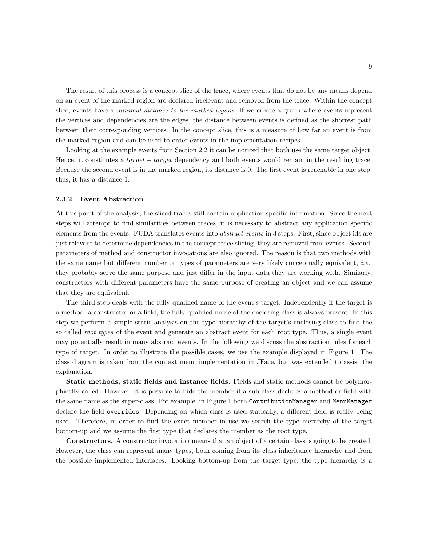The result of this process is a concept slice of the trace, where events that do not by any means depend on an event of the marked region are declared irrelevant and removed from the trace. Within the concept slice, events have a *minimal distance to the marked region*. If we create a graph where events represent the vertices and dependencies are the edges, the distance between events is defined as the shortest path between their corresponding vertices. In the concept slice, this is a measure of how far an event is from the marked region and can be used to order events in the implementation recipes.

Looking at the example events from Section 2.2 it can be noticed that both use the same target object. Hence, it constitutes a  $target - target$  dependency and both events would remain in the resulting trace. Because the second event is in the marked region, its distance is 0. The first event is reachable in one step, thus, it has a distance 1.

#### 2.3.2 Event Abstraction

At this point of the analysis, the sliced traces still contain application specific information. Since the next steps will attempt to find similarities between traces, it is necessary to abstract any application specific elements from the events. FUDA translates events into abstract events in 3 steps. First, since object ids are just relevant to determine dependencies in the concept trace slicing, they are removed from events. Second, parameters of method and constructor invocations are also ignored. The reason is that two methods with the same name but different number or types of parameters are very likely conceptually equivalent, i.e., they probably serve the same purpose and just differ in the input data they are working with. Similarly, constructors with different parameters have the same purpose of creating an object and we can assume that they are equivalent.

The third step deals with the fully qualified name of the event's target. Independently if the target is a method, a constructor or a field, the fully qualified name of the enclosing class is always present. In this step we perform a simple static analysis on the type hierarchy of the target's enclosing class to find the so called *root types* of the event and generate an abstract event for each root type. Thus, a single event may potentially result in many abstract events. In the following we discuss the abstraction rules for each type of target. In order to illustrate the possible cases, we use the example displayed in Figure 1. The class diagram is taken from the context menu implementation in JFace, but was extended to assist the explanation.

Static methods, static fields and instance fields. Fields and static methods cannot be polymorphically called. However, it is possible to hide the member if a sub-class declares a method or field with the same name as the super-class. For example, in Figure 1 both ContributionManager and MenuManager declare the field overrides. Depending on which class is used statically, a different field is really being used. Therefore, in order to find the exact member in use we search the type hierarchy of the target bottom-up and we assume the first type that declares the member as the root type.

Constructors. A constructor invocation means that an object of a certain class is going to be created. However, the class can represent many types, both coming from its class inheritance hierarchy and from the possible implemented interfaces. Looking bottom-up from the target type, the type hierarchy is a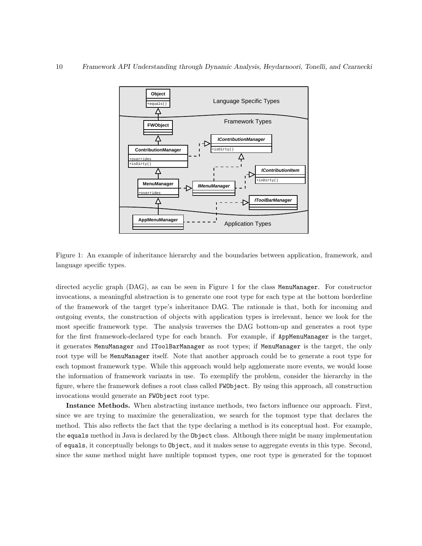

Figure 1: An example of inheritance hierarchy and the boundaries between application, framework, and language specific types.

directed acyclic graph (DAG), as can be seen in Figure 1 for the class MenuManager. For constructor invocations, a meaningful abstraction is to generate one root type for each type at the bottom borderline of the framework of the target type's inheritance DAG. The rationale is that, both for incoming and outgoing events, the construction of objects with application types is irrelevant, hence we look for the most specific framework type. The analysis traverses the DAG bottom-up and generates a root type for the first framework-declared type for each branch. For example, if AppMenuManager is the target, it generates MenuManager and IToolBarManager as root types; if MenuManager is the target, the only root type will be MenuManager itself. Note that another approach could be to generate a root type for each topmost framework type. While this approach would help agglomerate more events, we would loose the information of framework variants in use. To exemplify the problem, consider the hierarchy in the figure, where the framework defines a root class called FWObject. By using this approach, all construction invocations would generate an FWObject root type.

Instance Methods. When abstracting instance methods, two factors influence our approach. First, since we are trying to maximize the generalization, we search for the topmost type that declares the method. This also reflects the fact that the type declaring a method is its conceptual host. For example, the equals method in Java is declared by the Object class. Although there might be many implementation of equals, it conceptually belongs to Object, and it makes sense to aggregate events in this type. Second, since the same method might have multiple topmost types, one root type is generated for the topmost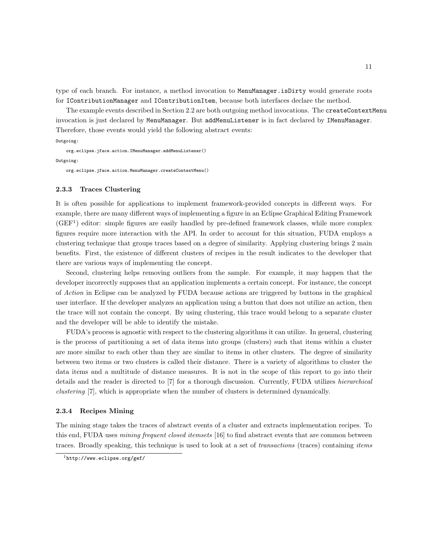type of each branch. For instance, a method invocation to MenuManager.isDirty would generate roots for IContributionManager and IContributionItem, because both interfaces declare the method.

The example events described in Section 2.2 are both outgoing method invocations. The createContextMenu invocation is just declared by MenuManager. But addMenuListener is in fact declared by IMenuManager. Therefore, those events would yield the following abstract events:

#### Outgoing:

org.eclipse.jface.action.IMenuManager.addMenuListener() Outgoing:

org.eclipse.jface.action.MenuManager.createContextMenu()

#### 2.3.3 Traces Clustering

It is often possible for applications to implement framework-provided concepts in different ways. For example, there are many different ways of implementing a figure in an Eclipse Graphical Editing Framework  $(GEF<sup>1</sup>)$  editor: simple figures are easily handled by pre-defined framework classes, while more complex figures require more interaction with the API. In order to account for this situation, FUDA employs a clustering technique that groups traces based on a degree of similarity. Applying clustering brings 2 main benefits. First, the existence of different clusters of recipes in the result indicates to the developer that there are various ways of implementing the concept.

Second, clustering helps removing outliers from the sample. For example, it may happen that the developer incorrectly supposes that an application implements a certain concept. For instance, the concept of Action in Eclipse can be analyzed by FUDA because actions are triggered by buttons in the graphical user interface. If the developer analyzes an application using a button that does not utilize an action, then the trace will not contain the concept. By using clustering, this trace would belong to a separate cluster and the developer will be able to identify the mistake.

FUDA's process is agnostic with respect to the clustering algorithms it can utilize. In general, clustering is the process of partitioning a set of data items into groups (clusters) such that items within a cluster are more similar to each other than they are similar to items in other clusters. The degree of similarity between two items or two clusters is called their distance. There is a variety of algorithms to cluster the data items and a multitude of distance measures. It is not in the scope of this report to go into their details and the reader is directed to [7] for a thorough discussion. Currently, FUDA utilizes *hierarchical* clustering [7], which is appropriate when the number of clusters is determined dynamically.

#### 2.3.4 Recipes Mining

The mining stage takes the traces of abstract events of a cluster and extracts implementation recipes. To this end, FUDA uses *mining frequent closed itemsets* [16] to find abstract events that are common between traces. Broadly speaking, this technique is used to look at a set of *transactions* (traces) containing *items* 

<sup>1</sup>http://www.eclipse.org/gef/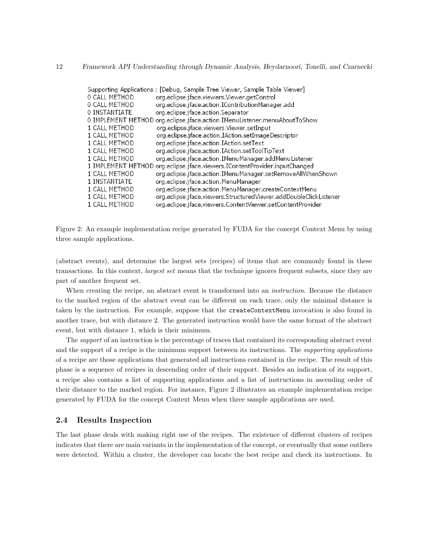## 12 Framework API Understanding through Dynamic Analysis, Heydarnoori, Tonelli, and Czarnecki

|               | Supporting Applications : [Debug, Sample Tree Viewer, Sample Table Viewer] |
|---------------|----------------------------------------------------------------------------|
| 0 CALL METHOD | org.eclipse.jface.viewers.Viewer.getControl                                |
| 0 CALL METHOD | org.eclipse.jface.action.IContributionManager.add                          |
| 0 INSTANTIATE | org.eclipse.jface.action.Separator                                         |
|               | 0 IMPLEMENT METHOD org.eclipse.jface.action.IMenuListener.menuAboutToShow  |
| 1 CALL METHOD | org.eclipse.jface.viewers.Viewer.setInput                                  |
| 1 CALL METHOD | org.eclipse.jface.action.IAction.setImageDescriptor                        |
| 1 CALL METHOD | org.eclipse.jface.action.IAction.setText                                   |
| 1 CALL METHOD | org.eclipse.jface.action.IAction.setToolTipText                            |
| 1 CALL METHOD | org.eclipse.jface.action.IMenuManager.addMenuListener                      |
|               | 1 IMPLEMENT METHOD org.eclipse.jface.viewers.IContentProvider.inputChanged |
| 1 CALL METHOD | org.eclipse.jface.action.IMenuManager.setRemoveAllWhenShown                |
| 1 INSTANTIATE | org.eclipse.jface.action.MenuManager                                       |
| 1 CALL METHOD | org.eclipse.jface.action.MenuManager.createContextMenu                     |
| 1 CALL METHOD | org.eclipse.jface.viewers.StructuredViewer.addDoubleClickListener          |
| 1 CALL METHOD | org.eclipse.jface.viewers.ContentViewer.setContentProvider                 |

Figure 2: An example implementation recipe generated by FUDA for the concept Context Menu by using three sample applications.

(abstract events), and determine the largest sets (recipes) of items that are commonly found in these transactions. In this context, largest set means that the technique ignores frequent subsets, since they are part of another frequent set.

When creating the recipe, an abstract event is transformed into an *instruction*. Because the distance to the marked region of the abstract event can be different on each trace, only the minimal distance is taken by the instruction. For example, suppose that the createContextMenu invocation is also found in another trace, but with distance 2. The generated instruction would have the same format of the abstract event, but with distance 1, which is their minimum.

The *support* of an instruction is the percentage of traces that contained its corresponding abstract event and the support of a recipe is the minimum support between its instructions. The *supporting applications* of a recipe are those applications that generated all instructions contained in the recipe. The result of this phase is a sequence of recipes in descending order of their support. Besides an indication of its support, a recipe also contains a list of supporting applications and a list of instructions in ascending order of their distance to the marked region. For instance, Figure 2 illustrates an example implementation recipe generated by FUDA for the concept Context Menu when three sample applications are used.

## 2.4 Results Inspection

The last phase deals with making right use of the recipes. The existence of different clusters of recipes indicates that there are main variants in the implementation of the concept, or eventually that some outliers were detected. Within a cluster, the developer can locate the best recipe and check its instructions. In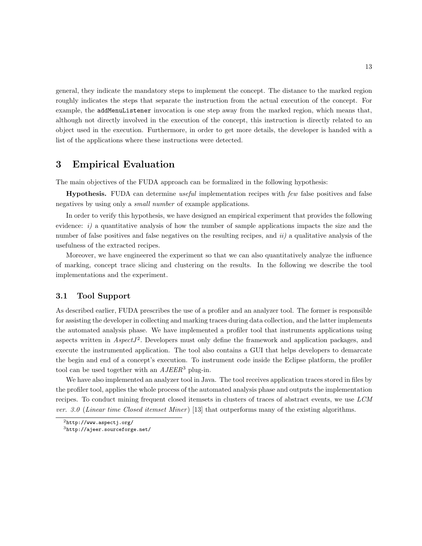general, they indicate the mandatory steps to implement the concept. The distance to the marked region roughly indicates the steps that separate the instruction from the actual execution of the concept. For example, the addMenuListener invocation is one step away from the marked region, which means that, although not directly involved in the execution of the concept, this instruction is directly related to an object used in the execution. Furthermore, in order to get more details, the developer is handed with a list of the applications where these instructions were detected.

## 3 Empirical Evaluation

The main objectives of the FUDA approach can be formalized in the following hypothesis:

**Hypothesis.** FUDA can determine useful implementation recipes with few false positives and false negatives by using only a small number of example applications.

In order to verify this hypothesis, we have designed an empirical experiment that provides the following evidence:  $i$ ) a quantitative analysis of how the number of sample applications impacts the size and the number of false positives and false negatives on the resulting recipes, and  $ii)$  a qualitative analysis of the usefulness of the extracted recipes.

Moreover, we have engineered the experiment so that we can also quantitatively analyze the influence of marking, concept trace slicing and clustering on the results. In the following we describe the tool implementations and the experiment.

## 3.1 Tool Support

As described earlier, FUDA prescribes the use of a profiler and an analyzer tool. The former is responsible for assisting the developer in collecting and marking traces during data collection, and the latter implements the automated analysis phase. We have implemented a profiler tool that instruments applications using aspects written in  $AspectJ<sup>2</sup>$ . Developers must only define the framework and application packages, and execute the instrumented application. The tool also contains a GUI that helps developers to demarcate the begin and end of a concept's execution. To instrument code inside the Eclipse platform, the profiler tool can be used together with an  $AJEER^3$  plug-in.

We have also implemented an analyzer tool in Java. The tool receives application traces stored in files by the profiler tool, applies the whole process of the automated analysis phase and outputs the implementation recipes. To conduct mining frequent closed itemsets in clusters of traces of abstract events, we use LCM ver. 3.0 (Linear time Closed itemset Miner) [13] that outperforms many of the existing algorithms.

 $^{2}$ http://www.aspectj.org/

<sup>3</sup>http://ajeer.sourceforge.net/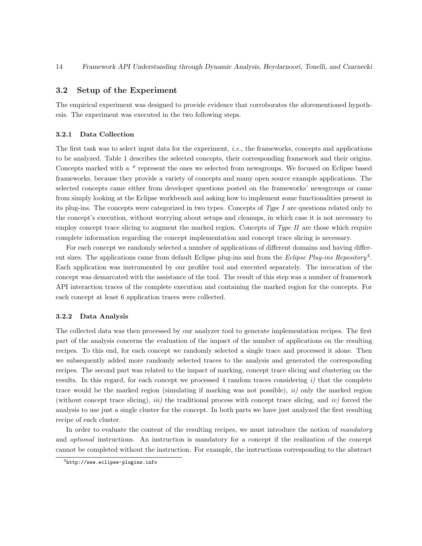## 3.2 Setup of the Experiment

The empirical experiment was designed to provide evidence that corroborates the aforementioned hypothesis. The experiment was executed in the two following steps.

#### 3.2.1 Data Collection

The first task was to select input data for the experiment, i.e., the frameworks, concepts and applications to be analyzed. Table 1 describes the selected concepts, their corresponding framework and their origins. Concepts marked with a \* represent the ones we selected from newsgroups. We focused on Eclipse based frameworks, because they provide a variety of concepts and many open source example applications. The selected concepts came either from developer questions posted on the frameworks' newsgroups or came from simply looking at the Eclipse workbench and asking how to implement some functionalities present in its plug-ins. The concepts were categorized in two types. Concepts of Type I are questions related only to the concept's execution, without worrying about setups and cleanups, in which case it is not necessary to employ concept trace slicing to augment the marked region. Concepts of  $Type\ II$  are those which require complete information regarding the concept implementation and concept trace slicing is necessary.

For each concept we randomly selected a number of applications of different domains and having different sizes. The applications came from default Eclipse plug-ins and from the Eclipse Plug-ins Repository<sup>4</sup>. Each application was instrumented by our profiler tool and executed separately. The invocation of the concept was demarcated with the assistance of the tool. The result of this step was a number of framework API interaction traces of the complete execution and containing the marked region for the concepts. For each concept at least 6 application traces were collected.

#### 3.2.2 Data Analysis

The collected data was then processed by our analyzer tool to generate implementation recipes. The first part of the analysis concerns the evaluation of the impact of the number of applications on the resulting recipes. To this end, for each concept we randomly selected a single trace and processed it alone. Then we subsequently added more randomly selected traces to the analysis and generated the corresponding recipes. The second part was related to the impact of marking, concept trace slicing and clustering on the results. In this regard, for each concept we processed 4 random traces considering  $i$ ) that the complete trace would be the marked region (simulating if marking was not possible),  $ii)$  only the marked region (without concept trace slicing), *iii*) the traditional process with concept trace slicing, and *iv*) forced the analysis to use just a single cluster for the concept. In both parts we have just analyzed the first resulting recipe of each cluster.

In order to evaluate the content of the resulting recipes, we must introduce the notion of mandatory and optional instructions. An instruction is mandatory for a concept if the realization of the concept cannot be completed without the instruction. For example, the instructions corresponding to the abstract

 $^4$ http://www.eclipse-plugins.info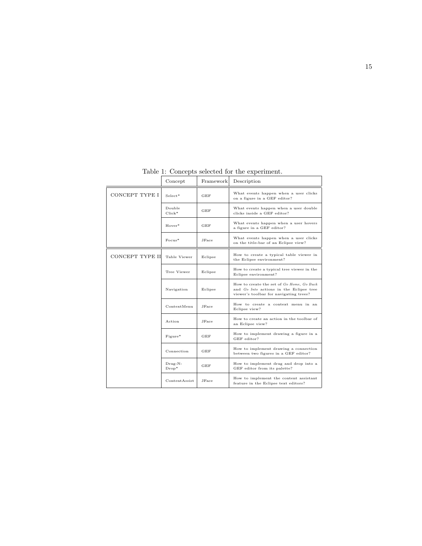| rable 1. Concepts selected for the experiment. |                      |              |                                                                                                                                |  |  |  |  |
|------------------------------------------------|----------------------|--------------|--------------------------------------------------------------------------------------------------------------------------------|--|--|--|--|
|                                                | Concept              | Framework    | Description                                                                                                                    |  |  |  |  |
| CONCEPT TYPE I                                 | $Select*$            | GEF          | What events happen when a user clicks<br>on a figure in a GEF editor?                                                          |  |  |  |  |
|                                                | Double<br>$Click*$   | GEF          | What events happen when a user double<br>clicks inside a GEF editor?                                                           |  |  |  |  |
|                                                | Hover*               | GEF          | What events happen when a user hovers<br>a figure in a GEF editor?                                                             |  |  |  |  |
|                                                | $F_{\rm OC115}$ *    | <b>JFace</b> | What events happen when a user clicks<br>on the title-bar of an Eclipse view?                                                  |  |  |  |  |
| CONCEPT TYPE II                                | Table Viewer         | Eclipse      | How to create a typical table viewer in<br>the Eclipse environment?                                                            |  |  |  |  |
|                                                | Tree Viewer          | Eclipse      | How to create a typical tree viewer in the<br>Eclipse environment?                                                             |  |  |  |  |
|                                                | Navigation           | Eclipse      | How to create the set of Go Home, Go Back<br>and Go Into actions in the Eclipse tree<br>viewer's toolbar for navigating trees? |  |  |  |  |
|                                                | ContextMenu          | JFace        | How to create a context menu in an<br>Eclipse view?                                                                            |  |  |  |  |
|                                                | Action               | JFace        | How to create an action in the toolbar of<br>an Eclipse view?                                                                  |  |  |  |  |
|                                                | Figure*              | GEF          | How to implement drawing a figure in a<br>GEF editor?                                                                          |  |  |  |  |
|                                                | Connection           | GEF          | How to implement drawing a connection<br>between two figures in a GEF editor?                                                  |  |  |  |  |
|                                                | $Drag-N-$<br>$Drop*$ | GEF          | How to implement drag and drop into a<br>GEF editor from its palette?                                                          |  |  |  |  |
|                                                | ContentAssist        | <b>JFace</b> | How to implement the content assistant<br>feature in the Eclipse text editors?                                                 |  |  |  |  |

Table 1: Concepts selected for the experiment.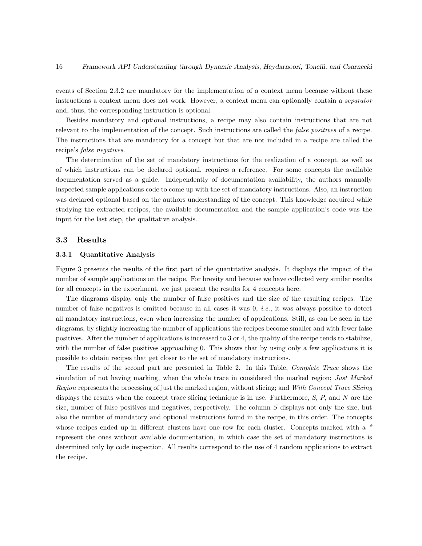events of Section 2.3.2 are mandatory for the implementation of a context menu because without these instructions a context menu does not work. However, a context menu can optionally contain a separator and, thus, the corresponding instruction is optional.

Besides mandatory and optional instructions, a recipe may also contain instructions that are not relevant to the implementation of the concept. Such instructions are called the *false positives* of a recipe. The instructions that are mandatory for a concept but that are not included in a recipe are called the recipe's false negatives.

The determination of the set of mandatory instructions for the realization of a concept, as well as of which instructions can be declared optional, requires a reference. For some concepts the available documentation served as a guide. Independently of documentation availability, the authors manually inspected sample applications code to come up with the set of mandatory instructions. Also, an instruction was declared optional based on the authors understanding of the concept. This knowledge acquired while studying the extracted recipes, the available documentation and the sample application's code was the input for the last step, the qualitative analysis.

## 3.3 Results

## 3.3.1 Quantitative Analysis

Figure 3 presents the results of the first part of the quantitative analysis. It displays the impact of the number of sample applications on the recipe. For brevity and because we have collected very similar results for all concepts in the experiment, we just present the results for 4 concepts here.

The diagrams display only the number of false positives and the size of the resulting recipes. The number of false negatives is omitted because in all cases it was 0, *i.e.*, it was always possible to detect all mandatory instructions, even when increasing the number of applications. Still, as can be seen in the diagrams, by slightly increasing the number of applications the recipes become smaller and with fewer false positives. After the number of applications is increased to 3 or 4, the quality of the recipe tends to stabilize, with the number of false positives approaching 0. This shows that by using only a few applications it is possible to obtain recipes that get closer to the set of mandatory instructions.

The results of the second part are presented in Table 2. In this Table, Complete Trace shows the simulation of not having marking, when the whole trace in considered the marked region; Just Marked Region represents the processing of just the marked region, without slicing; and With Concept Trace Slicing displays the results when the concept trace slicing technique is in use. Furthermore,  $S$ ,  $P$ , and  $N$  are the size, number of false positives and negatives, respectively. The column S displays not only the size, but also the number of mandatory and optional instructions found in the recipe, in this order. The concepts whose recipes ended up in different clusters have one row for each cluster. Concepts marked with a  $*$ represent the ones without available documentation, in which case the set of mandatory instructions is determined only by code inspection. All results correspond to the use of 4 random applications to extract the recipe.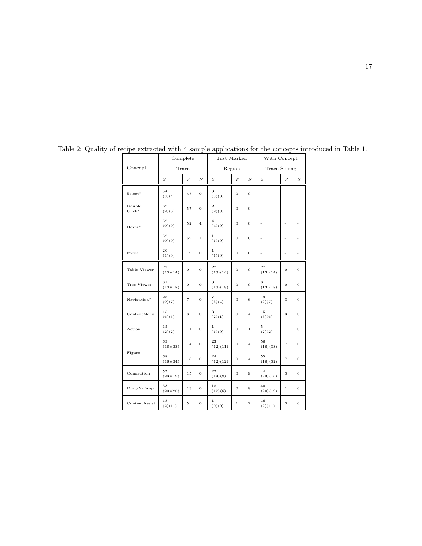|                    | Complete         |                |                | Just Marked              |                |                         | With Concept         |                |                          |
|--------------------|------------------|----------------|----------------|--------------------------|----------------|-------------------------|----------------------|----------------|--------------------------|
| Concept            | Trace            |                |                | Region                   |                |                         | <b>Trace Slicing</b> |                |                          |
|                    | $\boldsymbol{S}$ | $\overline{P}$ | $\overline{N}$ | S                        | $\overline{P}$ | $\overline{N}$          | $\boldsymbol{S}$     | $\overline{P}$ | $\boldsymbol{N}$         |
| $Select*$          | 54<br>(3)(4)     | 47             | $\mathbf 0$    | 3<br>(3)(0)              | $\mathbf 0$    | $\mathbf 0$             | $\overline{a}$       | $\overline{a}$ | $\frac{1}{2}$            |
| Double<br>$Click*$ | 62<br>(2)(3)     | 57             | $\theta$       | $\overline{2}$<br>(2)(0) | $\overline{0}$ | $\overline{0}$          | L,                   | L,             | ä,                       |
| Hover*             | 52<br>(0)(0)     | 52             | $\overline{4}$ | $\overline{4}$<br>(4)(0) | $\bf{0}$       | $\mathbf 0$             | $\frac{1}{2}$        | ä,             | $\overline{\phantom{a}}$ |
|                    | 52<br>(0)(0)     | 52             | $\mathbf{1}$   | $\,1$<br>(1)(0)          | 0              | $\overline{0}$          | $\overline{a}$       | L,             | ä,                       |
| Focus              | 20<br>(1)(0)     | 19             | $\mathbf{O}$   | $\,1$<br>(1)(0)          | $\bf{0}$       | $\mathbf 0$             | $\frac{1}{2}$        | $\overline{a}$ | $\frac{1}{2}$            |
| Table Viewer       | 27<br>(13)(14)   | $\mathbf 0$    | $\sigma$       | 27<br>(13)(14)           | $\bf{0}$       | $\overline{0}$          | 27<br>(13)(14)       | $\bf{0}$       | 0                        |
| Tree Viewer        | 31<br>(13)(18)   | $\overline{0}$ | $\theta$       | 31<br>(13)(18)           | $\sigma$       | $\overline{0}$          | 31<br>(13)(18)       | $\theta$       | $\overline{0}$           |
| Navigation*        | 23<br>(9)(7)     | $\overline{7}$ | $\overline{0}$ | $\overline{7}$<br>(3)(4) | $\mathbf 0$    | 6                       | 19<br>(9)(7)         | 3              | $\overline{0}$           |
| ContextMenu        | 15<br>(6)(6)     | 3              | $\overline{0}$ | 3<br>(2)(1)              | $\mathbf 0$    | $\overline{4}$          | 15<br>(6)(6)         | 3              | $\overline{0}$           |
| Action             | $1\,5$<br>(2)(2) | $1\,1$         | $\theta$       | $\,1$<br>(1)(0)          | $\mathbf 0$    | $\mathbf{1}$            | 5<br>(2)(2)          | $\,1$          | $\theta$                 |
|                    | 63<br>(16)(33)   | 14             | $\mathbf 0$    | 23<br>(12)(11)           | $\mathbf 0$    | $\overline{4}$          | 56<br>(16)(33)       | $\overline{7}$ | 0                        |
| Figure             | 68<br>(16)(34)   | 18             | $\overline{0}$ | 24<br>(12)(12)           | $\mathbf 0$    | $\overline{4}$          | 55<br>(16)(32)       | $\overline{7}$ | $\overline{0}$           |
| Connection         | 57<br>(23)(19)   | $1\,5$         | $\mathbf{O}$   | 22<br>(14)(8)            | $\mathbf 0$    | 9                       | 44<br>(23)(18)       | 3              | 0                        |
| Drag-N-Drop        | 53<br>(20)(20)   | $1\,3$         | $\mathbf{O}$   | 18<br>(12)(6)            | $\mathbf 0$    | 8                       | 40<br>(20)(19)       | $\,1\,$        | 0                        |
| ContentAssist      | 18<br>(2)(11)    | 5              | $\mathbf{O}$   | 1<br>(0)(0)              | $1\,$          | $\overline{\mathbf{2}}$ | 16<br>(2)(11)        | 3              | $\mathbf 0$              |

Table 2: Quality of recipe extracted with 4 sample applications for the concepts introduced in Table 1.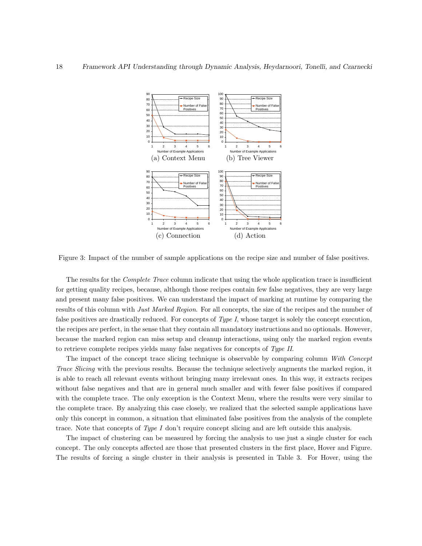

Figure 3: Impact of the number of sample applications on the recipe size and number of false positives.

The results for the *Complete Trace* column indicate that using the whole application trace is insufficient for getting quality recipes, because, although those recipes contain few false negatives, they are very large and present many false positives. We can understand the impact of marking at runtime by comparing the results of this column with *Just Marked Region*. For all concepts, the size of the recipes and the number of false positives are drastically reduced. For concepts of  $Type I$ , whose target is solely the concept execution, the recipes are perfect, in the sense that they contain all mandatory instructions and no optionals. However, because the marked region can miss setup and cleanup interactions, using only the marked region events to retrieve complete recipes yields many false negatives for concepts of Type II.

The impact of the concept trace slicing technique is observable by comparing column With Concept Trace Slicing with the previous results. Because the technique selectively augments the marked region, it is able to reach all relevant events without bringing many irrelevant ones. In this way, it extracts recipes without false negatives and that are in general much smaller and with fewer false positives if compared with the complete trace. The only exception is the Context Menu, where the results were very similar to the complete trace. By analyzing this case closely, we realized that the selected sample applications have only this concept in common, a situation that eliminated false positives from the analysis of the complete trace. Note that concepts of Type I don't require concept slicing and are left outside this analysis.

The impact of clustering can be measured by forcing the analysis to use just a single cluster for each concept. The only concepts affected are those that presented clusters in the first place, Hover and Figure. The results of forcing a single cluster in their analysis is presented in Table 3. For Hover, using the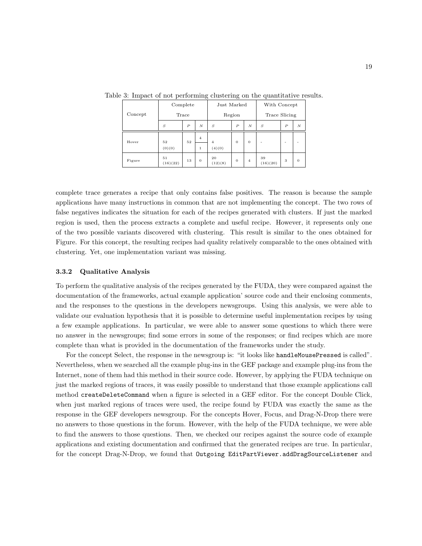|         | Complete       |                  |                | Just Marked    |                  |                  | With Concept   |        |                  |
|---------|----------------|------------------|----------------|----------------|------------------|------------------|----------------|--------|------------------|
| Concept | Trace          |                  |                | Region         |                  |                  | Trace Slicing  |        |                  |
|         | S              | $\boldsymbol{P}$ | N              | S              | $\boldsymbol{P}$ | $\boldsymbol{N}$ | S              | $_{P}$ | $\boldsymbol{N}$ |
| Hover   | 52             | 52               | $\overline{4}$ | $\overline{4}$ | $\Omega$         | $\theta$         | ٠              | ۰      | ۰                |
|         | (0)(0)         |                  | $\mathbf{1}$   | (4)(0)         |                  |                  |                |        |                  |
| Figure  | 51<br>(16)(22) | 13               | $\theta$       | 20<br>(12)(8)  | $\theta$         | $\overline{4}$   | 39<br>(16)(20) | 3      | $\theta$         |

Table 3: Impact of not performing clustering on the quantitative results.

complete trace generates a recipe that only contains false positives. The reason is because the sample applications have many instructions in common that are not implementing the concept. The two rows of false negatives indicates the situation for each of the recipes generated with clusters. If just the marked region is used, then the process extracts a complete and useful recipe. However, it represents only one of the two possible variants discovered with clustering. This result is similar to the ones obtained for Figure. For this concept, the resulting recipes had quality relatively comparable to the ones obtained with clustering. Yet, one implementation variant was missing.

## 3.3.2 Qualitative Analysis

To perform the qualitative analysis of the recipes generated by the FUDA, they were compared against the documentation of the frameworks, actual example application' source code and their enclosing comments, and the responses to the questions in the developers newsgroups. Using this analysis, we were able to validate our evaluation hypothesis that it is possible to determine useful implementation recipes by using a few example applications. In particular, we were able to answer some questions to which there were no answer in the newsgroups; find some errors in some of the responses; or find recipes which are more complete than what is provided in the documentation of the frameworks under the study.

For the concept Select, the response in the newsgroup is: "it looks like handleMousePressed is called". Nevertheless, when we searched all the example plug-ins in the GEF package and example plug-ins from the Internet, none of them had this method in their source code. However, by applying the FUDA technique on just the marked regions of traces, it was easily possible to understand that those example applications call method createDeleteCommand when a figure is selected in a GEF editor. For the concept Double Click, when just marked regions of traces were used, the recipe found by FUDA was exactly the same as the response in the GEF developers newsgroup. For the concepts Hover, Focus, and Drag-N-Drop there were no answers to those questions in the forum. However, with the help of the FUDA technique, we were able to find the answers to those questions. Then, we checked our recipes against the source code of example applications and existing documentation and confirmed that the generated recipes are true. In particular, for the concept Drag-N-Drop, we found that Outgoing EditPartViewer.addDragSourceListener and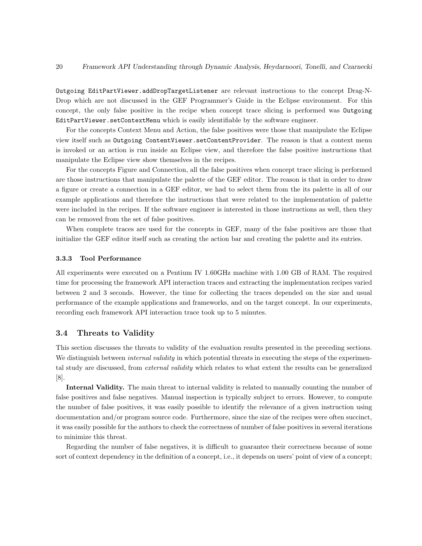Outgoing EditPartViewer.addDropTargetListener are relevant instructions to the concept Drag-N-Drop which are not discussed in the GEF Programmer's Guide in the Eclipse environment. For this concept, the only false positive in the recipe when concept trace slicing is performed was Outgoing EditPartViewer.setContextMenu which is easily identifiable by the software engineer.

For the concepts Context Menu and Action, the false positives were those that manipulate the Eclipse view itself such as Outgoing ContentViewer.setContentProvider. The reason is that a context menu is invoked or an action is run inside an Eclipse view, and therefore the false positive instructions that manipulate the Eclipse view show themselves in the recipes.

For the concepts Figure and Connection, all the false positives when concept trace slicing is performed are those instructions that manipulate the palette of the GEF editor. The reason is that in order to draw a figure or create a connection in a GEF editor, we had to select them from the its palette in all of our example applications and therefore the instructions that were related to the implementation of palette were included in the recipes. If the software engineer is interested in those instructions as well, then they can be removed from the set of false positives.

When complete traces are used for the concepts in GEF, many of the false positives are those that initialize the GEF editor itself such as creating the action bar and creating the palette and its entries.

## 3.3.3 Tool Performance

All experiments were executed on a Pentium IV 1.60GHz machine with 1.00 GB of RAM. The required time for processing the framework API interaction traces and extracting the implementation recipes varied between 2 and 3 seconds. However, the time for collecting the traces depended on the size and usual performance of the example applications and frameworks, and on the target concept. In our experiments, recording each framework API interaction trace took up to 5 minutes.

## 3.4 Threats to Validity

This section discusses the threats to validity of the evaluation results presented in the preceding sections. We distinguish between *internal validity* in which potential threats in executing the steps of the experimental study are discussed, from *external validity* which relates to what extent the results can be generalized [8].

Internal Validity. The main threat to internal validity is related to manually counting the number of false positives and false negatives. Manual inspection is typically subject to errors. However, to compute the number of false positives, it was easily possible to identify the relevance of a given instruction using documentation and/or program source code. Furthermore, since the size of the recipes were often succinct, it was easily possible for the authors to check the correctness of number of false positives in several iterations to minimize this threat.

Regarding the number of false negatives, it is difficult to guarantee their correctness because of some sort of context dependency in the definition of a concept, i.e., it depends on users' point of view of a concept;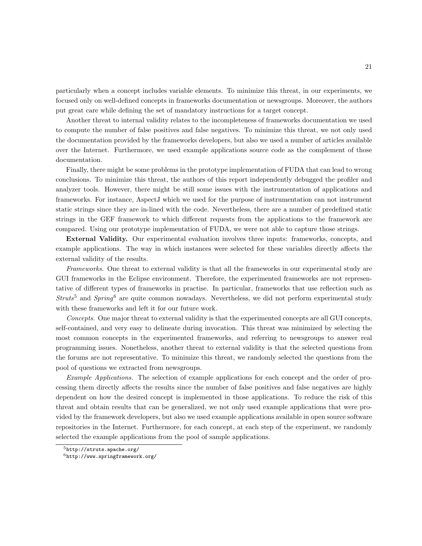particularly when a concept includes variable elements. To minimize this threat, in our experiments, we focused only on well-defined concepts in frameworks documentation or newsgroups. Moreover, the authors put great care while defining the set of mandatory instructions for a target concept.

Another threat to internal validity relates to the incompleteness of frameworks documentation we used to compute the number of false positives and false negatives. To minimize this threat, we not only used the documentation provided by the frameworks developers, but also we used a number of articles available over the Internet. Furthermore, we used example applications source code as the complement of those documentation.

Finally, there might be some problems in the prototype implementation of FUDA that can lead to wrong conclusions. To minimize this threat, the authors of this report independently debugged the profiler and analyzer tools. However, there might be still some issues with the instrumentation of applications and frameworks. For instance, AspectJ which we used for the purpose of instrumentation can not instrument static strings since they are in-lined with the code. Nevertheless, there are a number of predefined static strings in the GEF framework to which different requests from the applications to the framework are compared. Using our prototype implementation of FUDA, we were not able to capture those strings.

External Validity. Our experimental evaluation involves three inputs: frameworks, concepts, and example applications. The way in which instances were selected for these variables directly affects the external validity of the results.

Frameworks. One threat to external validity is that all the frameworks in our experimental study are GUI frameworks in the Eclipse environment. Therefore, the experimented frameworks are not representative of different types of frameworks in practise. In particular, frameworks that use reflection such as  $Struts^5$  and  $Spring^6$  are quite common nowadays. Nevertheless, we did not perform experimental study with these frameworks and left it for our future work.

Concepts. One major threat to external validity is that the experimented concepts are all GUI concepts, self-contained, and very easy to delineate during invocation. This threat was minimized by selecting the most common concepts in the experimented frameworks, and referring to newsgroups to answer real programming issues. Nonetheless, another threat to external validity is that the selected questions from the forums are not representative. To minimize this threat, we randomly selected the questions from the pool of questions we extracted from newsgroups.

Example Applications. The selection of example applications for each concept and the order of processing them directly affects the results since the number of false positives and false negatives are highly dependent on how the desired concept is implemented in those applications. To reduce the risk of this threat and obtain results that can be generalized, we not only used example applications that were provided by the framework developers, but also we used example applications available in open source software repositories in the Internet. Furthermore, for each concept, at each step of the experiment, we randomly selected the example applications from the pool of sample applications.

<sup>5</sup>http://struts.apache.org/

 $6$ http://www.springframework.org/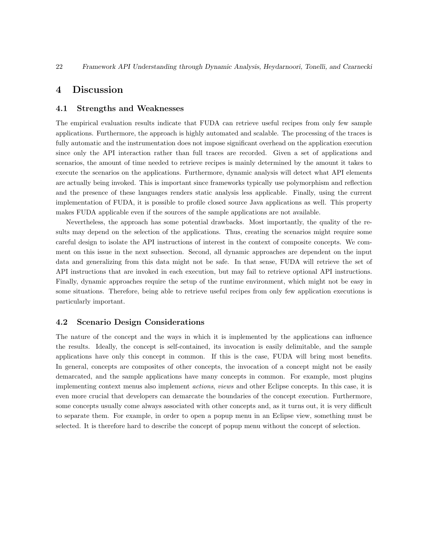## 4 Discussion

## 4.1 Strengths and Weaknesses

The empirical evaluation results indicate that FUDA can retrieve useful recipes from only few sample applications. Furthermore, the approach is highly automated and scalable. The processing of the traces is fully automatic and the instrumentation does not impose significant overhead on the application execution since only the API interaction rather than full traces are recorded. Given a set of applications and scenarios, the amount of time needed to retrieve recipes is mainly determined by the amount it takes to execute the scenarios on the applications. Furthermore, dynamic analysis will detect what API elements are actually being invoked. This is important since frameworks typically use polymorphism and reflection and the presence of these languages renders static analysis less applicable. Finally, using the current implementation of FUDA, it is possible to profile closed source Java applications as well. This property makes FUDA applicable even if the sources of the sample applications are not available.

Nevertheless, the approach has some potential drawbacks. Most importantly, the quality of the results may depend on the selection of the applications. Thus, creating the scenarios might require some careful design to isolate the API instructions of interest in the context of composite concepts. We comment on this issue in the next subsection. Second, all dynamic approaches are dependent on the input data and generalizing from this data might not be safe. In that sense, FUDA will retrieve the set of API instructions that are invoked in each execution, but may fail to retrieve optional API instructions. Finally, dynamic approaches require the setup of the runtime environment, which might not be easy in some situations. Therefore, being able to retrieve useful recipes from only few application executions is particularly important.

## 4.2 Scenario Design Considerations

The nature of the concept and the ways in which it is implemented by the applications can influence the results. Ideally, the concept is self-contained, its invocation is easily delimitable, and the sample applications have only this concept in common. If this is the case, FUDA will bring most benefits. In general, concepts are composites of other concepts, the invocation of a concept might not be easily demarcated, and the sample applications have many concepts in common. For example, most plugins implementing context menus also implement actions, views and other Eclipse concepts. In this case, it is even more crucial that developers can demarcate the boundaries of the concept execution. Furthermore, some concepts usually come always associated with other concepts and, as it turns out, it is very difficult to separate them. For example, in order to open a popup menu in an Eclipse view, something must be selected. It is therefore hard to describe the concept of popup menu without the concept of selection.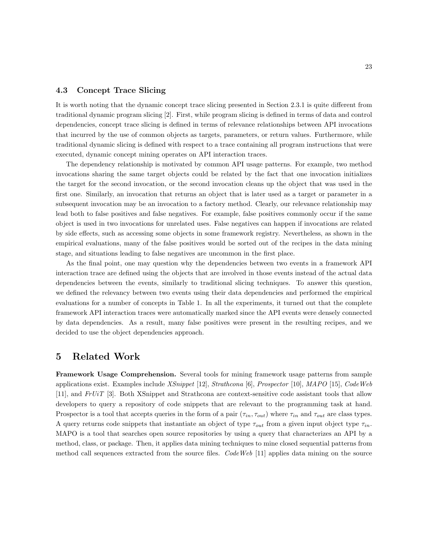## 4.3 Concept Trace Slicing

It is worth noting that the dynamic concept trace slicing presented in Section 2.3.1 is quite different from traditional dynamic program slicing [2]. First, while program slicing is defined in terms of data and control dependencies, concept trace slicing is defined in terms of relevance relationships between API invocations that incurred by the use of common objects as targets, parameters, or return values. Furthermore, while traditional dynamic slicing is defined with respect to a trace containing all program instructions that were executed, dynamic concept mining operates on API interaction traces.

The dependency relationship is motivated by common API usage patterns. For example, two method invocations sharing the same target objects could be related by the fact that one invocation initializes the target for the second invocation, or the second invocation cleans up the object that was used in the first one. Similarly, an invocation that returns an object that is later used as a target or parameter in a subsequent invocation may be an invocation to a factory method. Clearly, our relevance relationship may lead both to false positives and false negatives. For example, false positives commonly occur if the same object is used in two invocations for unrelated uses. False negatives can happen if invocations are related by side effects, such as accessing some objects in some framework registry. Nevertheless, as shown in the empirical evaluations, many of the false positives would be sorted out of the recipes in the data mining stage, and situations leading to false negatives are uncommon in the first place.

As the final point, one may question why the dependencies between two events in a framework API interaction trace are defined using the objects that are involved in those events instead of the actual data dependencies between the events, similarly to traditional slicing techniques. To answer this question, we defined the relevancy between two events using their data dependencies and performed the empirical evaluations for a number of concepts in Table 1. In all the experiments, it turned out that the complete framework API interaction traces were automatically marked since the API events were densely connected by data dependencies. As a result, many false positives were present in the resulting recipes, and we decided to use the object dependencies approach.

## 5 Related Work

Framework Usage Comprehension. Several tools for mining framework usage patterns from sample applications exist. Examples include  $XSnippet$  [12],  $Strathcona$  [6],  $Prospector$  [10],  $MAPO$  [15],  $CodeWeb$ [11], and  $F \nu T$  [3]. Both XSnippet and Strathcona are context-sensitive code assistant tools that allow developers to query a repository of code snippets that are relevant to the programming task at hand. Prospector is a tool that accepts queries in the form of a pair  $(\tau_{in}, \tau_{out})$  where  $\tau_{in}$  and  $\tau_{out}$  are class types. A query returns code snippets that instantiate an object of type  $\tau_{out}$  from a given input object type  $\tau_{in}$ . MAPO is a tool that searches open source repositories by using a query that characterizes an API by a method, class, or package. Then, it applies data mining techniques to mine closed sequential patterns from method call sequences extracted from the source files. Code Web [11] applies data mining on the source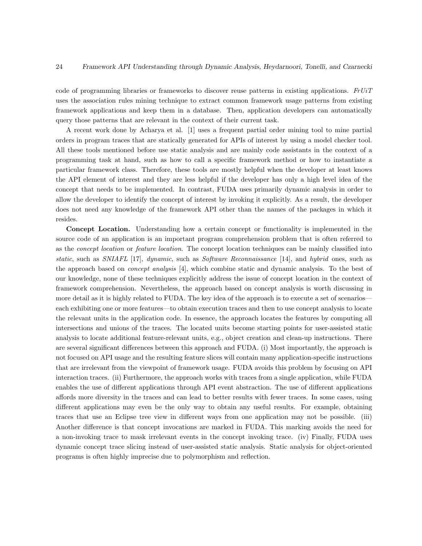code of programming libraries or frameworks to discover reuse patterns in existing applications.  $FrbiT$ uses the association rules mining technique to extract common framework usage patterns from existing framework applications and keep them in a database. Then, application developers can automatically query those patterns that are relevant in the context of their current task.

A recent work done by Acharya et al. [1] uses a frequent partial order mining tool to mine partial orders in program traces that are statically generated for APIs of interest by using a model checker tool. All these tools mentioned before use static analysis and are mainly code assistants in the context of a programming task at hand, such as how to call a specific framework method or how to instantiate a particular framework class. Therefore, these tools are mostly helpful when the developer at least knows the API element of interest and they are less helpful if the developer has only a high level idea of the concept that needs to be implemented. In contrast, FUDA uses primarily dynamic analysis in order to allow the developer to identify the concept of interest by invoking it explicitly. As a result, the developer does not need any knowledge of the framework API other than the names of the packages in which it resides.

Concept Location. Understanding how a certain concept or functionality is implemented in the source code of an application is an important program comprehension problem that is often referred to as the *concept location* or *feature location*. The concept location techniques can be mainly classified into static, such as SNIAFL [17], dynamic, such as Software Reconnaissance [14], and hybrid ones, such as the approach based on *concept analysis* [4], which combine static and dynamic analysis. To the best of our knowledge, none of these techniques explicitly address the issue of concept location in the context of framework comprehension. Nevertheless, the approach based on concept analysis is worth discussing in more detail as it is highly related to FUDA. The key idea of the approach is to execute a set of scenarios each exhibiting one or more features—to obtain execution traces and then to use concept analysis to locate the relevant units in the application code. In essence, the approach locates the features by computing all intersections and unions of the traces. The located units become starting points for user-assisted static analysis to locate additional feature-relevant units, e.g., object creation and clean-up instructions. There are several significant differences between this approach and FUDA. (i) Most importantly, the approach is not focused on API usage and the resulting feature slices will contain many application-specific instructions that are irrelevant from the viewpoint of framework usage. FUDA avoids this problem by focusing on API interaction traces. (ii) Furthermore, the approach works with traces from a single application, while FUDA enables the use of different applications through API event abstraction. The use of different applications affords more diversity in the traces and can lead to better results with fewer traces. In some cases, using different applications may even be the only way to obtain any useful results. For example, obtaining traces that use an Eclipse tree view in different ways from one application may not be possible. (iii) Another difference is that concept invocations are marked in FUDA. This marking avoids the need for a non-invoking trace to mask irrelevant events in the concept invoking trace. (iv) Finally, FUDA uses dynamic concept trace slicing instead of user-assisted static analysis. Static analysis for object-oriented programs is often highly imprecise due to polymorphism and reflection.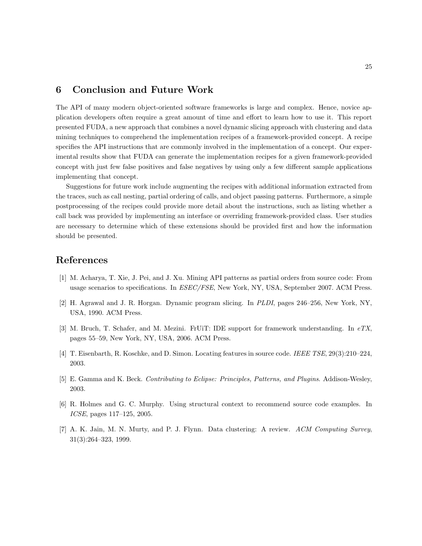## 6 Conclusion and Future Work

The API of many modern object-oriented software frameworks is large and complex. Hence, novice application developers often require a great amount of time and effort to learn how to use it. This report presented FUDA, a new approach that combines a novel dynamic slicing approach with clustering and data mining techniques to comprehend the implementation recipes of a framework-provided concept. A recipe specifies the API instructions that are commonly involved in the implementation of a concept. Our experimental results show that FUDA can generate the implementation recipes for a given framework-provided concept with just few false positives and false negatives by using only a few different sample applications implementing that concept.

Suggestions for future work include augmenting the recipes with additional information extracted from the traces, such as call nesting, partial ordering of calls, and object passing patterns. Furthermore, a simple postprocessing of the recipes could provide more detail about the instructions, such as listing whether a call back was provided by implementing an interface or overriding framework-provided class. User studies are necessary to determine which of these extensions should be provided first and how the information should be presented.

## References

- [1] M. Acharya, T. Xie, J. Pei, and J. Xu. Mining API patterns as partial orders from source code: From usage scenarios to specifications. In ESEC/FSE, New York, NY, USA, September 2007. ACM Press.
- [2] H. Agrawal and J. R. Horgan. Dynamic program slicing. In PLDI, pages 246–256, New York, NY, USA, 1990. ACM Press.
- [3] M. Bruch, T. Schafer, and M. Mezini. FrUiT: IDE support for framework understanding. In  $eTX$ , pages 55–59, New York, NY, USA, 2006. ACM Press.
- [4] T. Eisenbarth, R. Koschke, and D. Simon. Locating features in source code. IEEE TSE, 29(3):210–224, 2003.
- [5] E. Gamma and K. Beck. Contributing to Eclipse: Principles, Patterns, and Plugins. Addison-Wesley, 2003.
- [6] R. Holmes and G. C. Murphy. Using structural context to recommend source code examples. In ICSE, pages 117–125, 2005.
- [7] A. K. Jain, M. N. Murty, and P. J. Flynn. Data clustering: A review. ACM Computing Survey, 31(3):264–323, 1999.